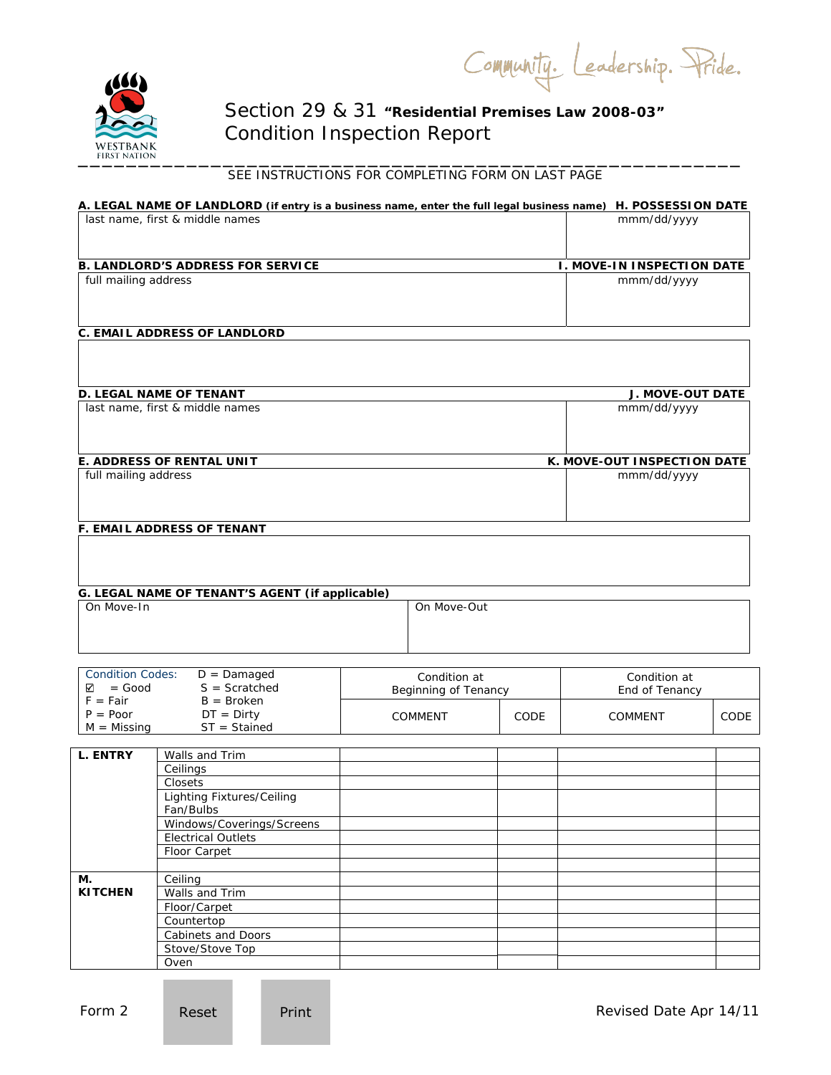Community. Leadership. Pride.



## Section 29 & 31 *"Residential Premises Law 2008-03"*  Condition Inspection Report

# WESTBANK<br>
FIRST NATION<br>
SEE INSTRUCTIONS FOR COMPLETING FORM ON LAST PAGE

|                                  | A. LEGAL NAME OF LANDLORD (if entry is a business name, enter the full legal business name) H. POSSESSION DATE |  |                      |      |                                   |      |  |
|----------------------------------|----------------------------------------------------------------------------------------------------------------|--|----------------------|------|-----------------------------------|------|--|
|                                  | last name, first & middle names                                                                                |  |                      |      | mmm/dd/yyyy                       |      |  |
|                                  |                                                                                                                |  |                      |      |                                   |      |  |
|                                  |                                                                                                                |  |                      |      |                                   |      |  |
|                                  | <b>B. LANDLORD'S ADDRESS FOR SERVICE</b>                                                                       |  |                      |      | <b>I. MOVE-IN INSPECTION DATE</b> |      |  |
| full mailing address             |                                                                                                                |  |                      |      | mmm/dd/yyyy                       |      |  |
|                                  |                                                                                                                |  |                      |      |                                   |      |  |
|                                  |                                                                                                                |  |                      |      |                                   |      |  |
|                                  | <b>C. EMAIL ADDRESS OF LANDLORD</b>                                                                            |  |                      |      |                                   |      |  |
|                                  |                                                                                                                |  |                      |      |                                   |      |  |
|                                  |                                                                                                                |  |                      |      |                                   |      |  |
|                                  |                                                                                                                |  |                      |      |                                   |      |  |
|                                  | <b>D. LEGAL NAME OF TENANT</b>                                                                                 |  |                      |      | <b>J. MOVE-OUT DATE</b>           |      |  |
|                                  | last name, first & middle names                                                                                |  |                      |      | mmm/dd/yyyy                       |      |  |
|                                  |                                                                                                                |  |                      |      |                                   |      |  |
|                                  |                                                                                                                |  |                      |      |                                   |      |  |
|                                  |                                                                                                                |  |                      |      |                                   |      |  |
| full mailing address             | E. ADDRESS OF RENTAL UNIT                                                                                      |  |                      |      | K. MOVE-OUT INSPECTION DATE       |      |  |
|                                  |                                                                                                                |  |                      |      | mmm/dd/yyyy                       |      |  |
|                                  |                                                                                                                |  |                      |      |                                   |      |  |
|                                  |                                                                                                                |  |                      |      |                                   |      |  |
|                                  | F. EMAIL ADDRESS OF TENANT                                                                                     |  |                      |      |                                   |      |  |
|                                  |                                                                                                                |  |                      |      |                                   |      |  |
|                                  |                                                                                                                |  |                      |      |                                   |      |  |
|                                  |                                                                                                                |  |                      |      |                                   |      |  |
|                                  | G. LEGAL NAME OF TENANT'S AGENT (if applicable)                                                                |  |                      |      |                                   |      |  |
| On Move-In<br>On Move-Out        |                                                                                                                |  |                      |      |                                   |      |  |
|                                  |                                                                                                                |  |                      |      |                                   |      |  |
|                                  |                                                                                                                |  |                      |      |                                   |      |  |
|                                  |                                                                                                                |  |                      |      |                                   |      |  |
| <b>Condition Codes:</b>          | $D =$ Damaged                                                                                                  |  | Condition at         |      | Condition at                      |      |  |
| $S =$ Scratched<br>$=$ Good<br>⊻ |                                                                                                                |  | Beginning of Tenancy |      | End of Tenancy                    |      |  |
| $F = Fair$                       | $B = B$ roken                                                                                                  |  |                      |      |                                   |      |  |
| $P = Poor$                       | $DT = Dirty$                                                                                                   |  | COMMENT              | CODE | COMMENT                           | CODE |  |
| $M = M$ issing                   | $ST = Stained$                                                                                                 |  |                      |      |                                   |      |  |
| <b>L. ENTRY</b>                  | Walls and Trim                                                                                                 |  |                      |      |                                   |      |  |
|                                  | Ceilings                                                                                                       |  |                      |      |                                   |      |  |
|                                  | Closets                                                                                                        |  |                      |      |                                   |      |  |
|                                  | <b>Lighting Fixtures/Ceiling</b>                                                                               |  |                      |      |                                   |      |  |
|                                  | Fan/Bulbs                                                                                                      |  |                      |      |                                   |      |  |
|                                  | Windows/Coverings/Screens                                                                                      |  |                      |      |                                   |      |  |
|                                  | <b>Electrical Outlets</b>                                                                                      |  |                      |      |                                   |      |  |
|                                  | Floor Carpet                                                                                                   |  |                      |      |                                   |      |  |
|                                  |                                                                                                                |  |                      |      |                                   |      |  |
| М.                               | Ceiling                                                                                                        |  |                      |      |                                   |      |  |
| <b>KITCHEN</b>                   | Walls and Trim                                                                                                 |  |                      |      |                                   |      |  |
|                                  | Floor/Carpet                                                                                                   |  |                      |      |                                   |      |  |

Countertop Cabinets and Doors Stove/Stove Top

Oven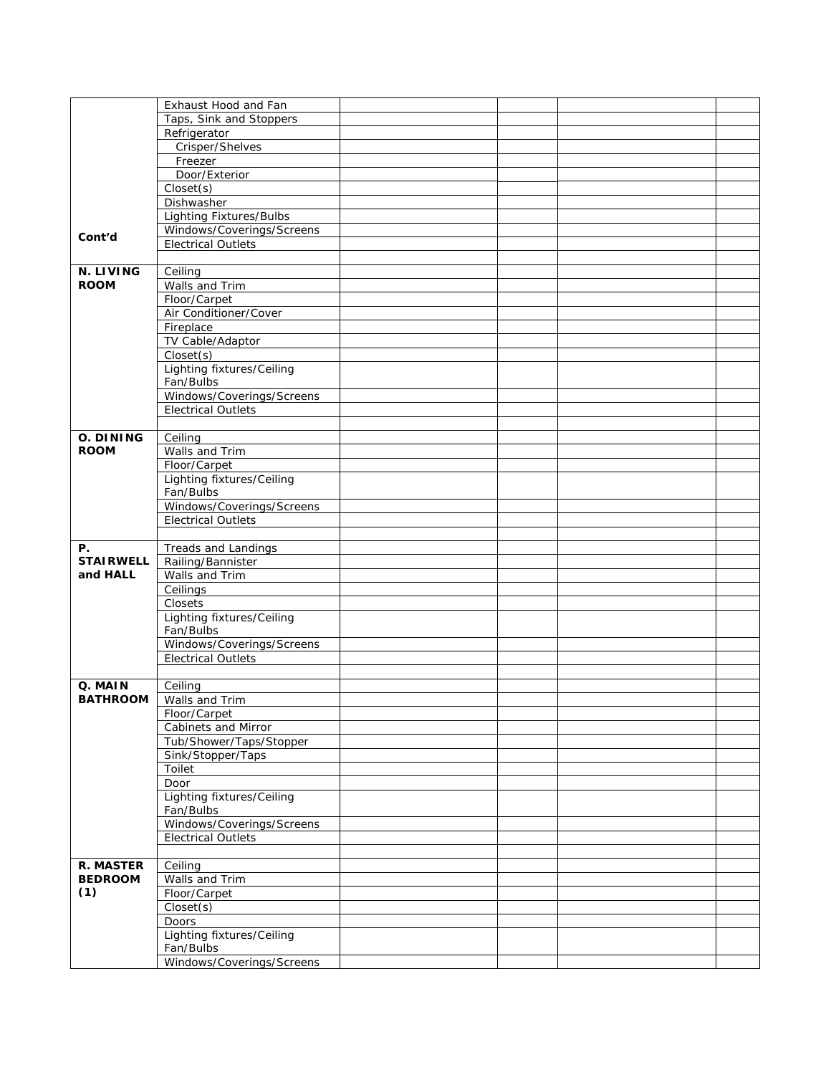|                            | Exhaust Hood and Fan                                   |  |  |
|----------------------------|--------------------------------------------------------|--|--|
|                            | Taps, Sink and Stoppers                                |  |  |
|                            | Refrigerator                                           |  |  |
|                            | Crisper/Shelves                                        |  |  |
|                            | Freezer                                                |  |  |
|                            | Door/Exterior                                          |  |  |
|                            | Closet(s)                                              |  |  |
|                            | Dishwasher                                             |  |  |
|                            | <b>Lighting Fixtures/Bulbs</b>                         |  |  |
|                            | Windows/Coverings/Screens                              |  |  |
| Cont'd                     | <b>Electrical Outlets</b>                              |  |  |
|                            |                                                        |  |  |
| <b>N. LIVING</b>           |                                                        |  |  |
| <b>ROOM</b>                | Ceiling<br>Walls and Trim                              |  |  |
|                            |                                                        |  |  |
|                            | Floor/Carpet                                           |  |  |
|                            | Air Conditioner/Cover                                  |  |  |
|                            | Fireplace                                              |  |  |
|                            | TV Cable/Adaptor                                       |  |  |
|                            | Closet(s)                                              |  |  |
|                            | Lighting fixtures/Ceiling                              |  |  |
|                            | Fan/Bulbs                                              |  |  |
|                            | Windows/Coverings/Screens                              |  |  |
|                            | <b>Electrical Outlets</b>                              |  |  |
|                            |                                                        |  |  |
| O. DINING                  | Ceiling                                                |  |  |
| <b>ROOM</b>                | Walls and Trim                                         |  |  |
|                            | Floor/Carpet                                           |  |  |
|                            | Lighting fixtures/Ceiling                              |  |  |
|                            | Fan/Bulbs                                              |  |  |
|                            | Windows/Coverings/Screens                              |  |  |
|                            | <b>Electrical Outlets</b>                              |  |  |
|                            |                                                        |  |  |
| Р.                         | Treads and Landings                                    |  |  |
|                            |                                                        |  |  |
| <b>STAIRWELL</b>           |                                                        |  |  |
| and HALL                   | Railing/Bannister                                      |  |  |
|                            | Walls and Trim                                         |  |  |
|                            | Ceilings<br>Closets                                    |  |  |
|                            |                                                        |  |  |
|                            | Lighting fixtures/Ceiling                              |  |  |
|                            | Fan/Bulbs                                              |  |  |
|                            | Windows/Coverings/Screens<br><b>Electrical Outlets</b> |  |  |
|                            |                                                        |  |  |
|                            |                                                        |  |  |
| Q. MAIN<br><b>BATHROOM</b> | Ceiling                                                |  |  |
|                            | Walls and Trim                                         |  |  |
|                            | Floor/Carpet                                           |  |  |
|                            | Cabinets and Mirror                                    |  |  |
|                            | Tub/Shower/Taps/Stopper                                |  |  |
|                            | Sink/Stopper/Taps                                      |  |  |
|                            | Toilet                                                 |  |  |
|                            | Door                                                   |  |  |
|                            | Lighting fixtures/Ceiling                              |  |  |
|                            | Fan/Bulbs                                              |  |  |
|                            | Windows/Coverings/Screens                              |  |  |
|                            | <b>Electrical Outlets</b>                              |  |  |
|                            |                                                        |  |  |
| <b>R. MASTER</b>           | Ceiling                                                |  |  |
| <b>BEDROOM</b>             | Walls and Trim                                         |  |  |
| (1)                        | Floor/Carpet                                           |  |  |
|                            | Closet(s)                                              |  |  |
|                            | Doors                                                  |  |  |
|                            | Lighting fixtures/Ceiling                              |  |  |
|                            | Fan/Bulbs<br>Windows/Coverings/Screens                 |  |  |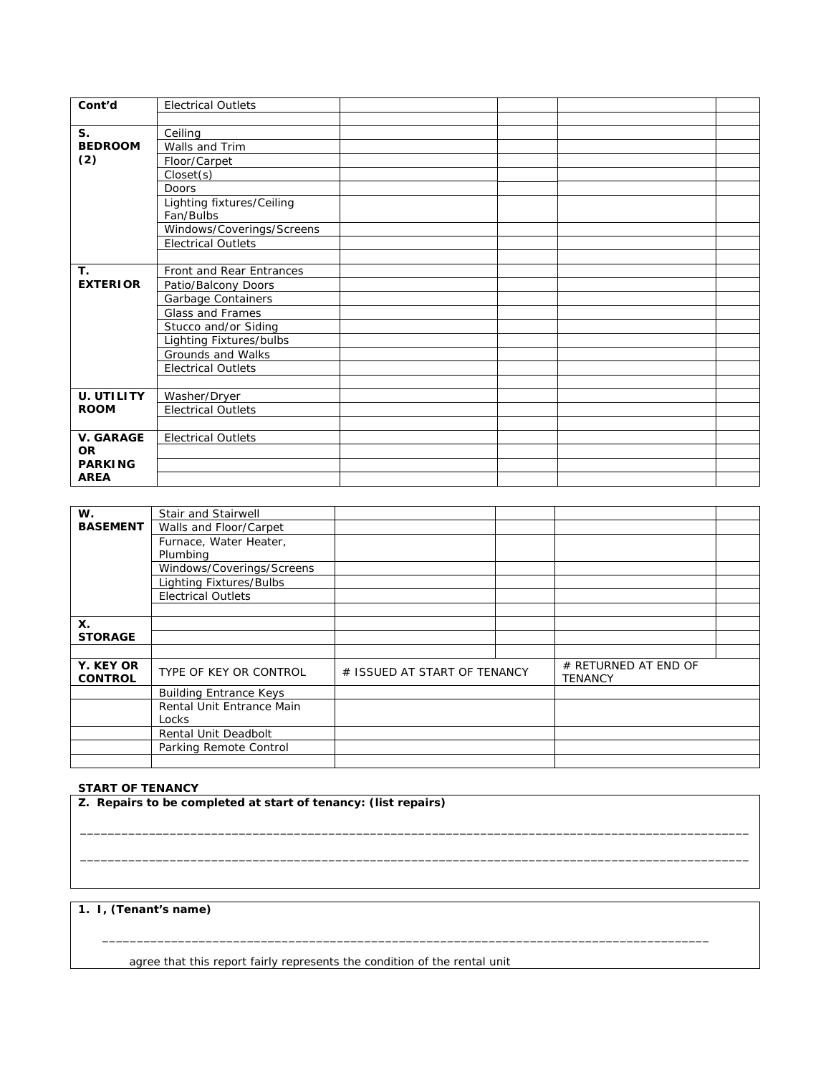| Cont'd                | <b>Electrical Outlets</b> |  |  |
|-----------------------|---------------------------|--|--|
|                       |                           |  |  |
| $S_{1}$               | Ceiling                   |  |  |
| <b>BEDROOM</b><br>(2) | Walls and Trim            |  |  |
|                       | Floor/Carpet              |  |  |
|                       | Closet(s)                 |  |  |
|                       | <b>Doors</b>              |  |  |
|                       | Lighting fixtures/Ceiling |  |  |
|                       | Fan/Bulbs                 |  |  |
|                       | Windows/Coverings/Screens |  |  |
|                       | <b>Electrical Outlets</b> |  |  |
|                       |                           |  |  |
| T.                    | Front and Rear Entrances  |  |  |
| <b>EXTERIOR</b>       | Patio/Balcony Doors       |  |  |
|                       | Garbage Containers        |  |  |
|                       | Glass and Frames          |  |  |
|                       | Stucco and/or Siding      |  |  |
|                       | Lighting Fixtures/bulbs   |  |  |
|                       | Grounds and Walks         |  |  |
|                       | <b>Electrical Outlets</b> |  |  |
|                       |                           |  |  |
| <b>U. UTILITY</b>     | Washer/Dryer              |  |  |
| <b>ROOM</b>           | <b>Electrical Outlets</b> |  |  |
|                       |                           |  |  |
| <b>V. GARAGE</b>      | <b>Electrical Outlets</b> |  |  |
| <b>OR</b>             |                           |  |  |
| <b>PARKING</b>        |                           |  |  |
| <b>AREA</b>           |                           |  |  |

| W.                          | Stair and Stairwell           |                              |  |                                        |  |
|-----------------------------|-------------------------------|------------------------------|--|----------------------------------------|--|
| <b>BASEMENT</b>             | Walls and Floor/Carpet        |                              |  |                                        |  |
|                             | Furnace, Water Heater,        |                              |  |                                        |  |
|                             | Plumbing                      |                              |  |                                        |  |
|                             | Windows/Coverings/Screens     |                              |  |                                        |  |
|                             | Lighting Fixtures/Bulbs       |                              |  |                                        |  |
|                             | <b>Electrical Outlets</b>     |                              |  |                                        |  |
|                             |                               |                              |  |                                        |  |
| <b>X.</b>                   |                               |                              |  |                                        |  |
| <b>STORAGE</b>              |                               |                              |  |                                        |  |
|                             |                               |                              |  |                                        |  |
| Y. KEY OR<br><b>CONTROL</b> | TYPE OF KEY OR CONTROL        | # ISSUED AT START OF TENANCY |  | # RETURNED AT END OF<br><b>TENANCY</b> |  |
|                             | <b>Building Entrance Keys</b> |                              |  |                                        |  |
|                             | Rental Unit Entrance Main     |                              |  |                                        |  |
|                             | Locks                         |                              |  |                                        |  |
|                             | <b>Rental Unit Deadbolt</b>   |                              |  |                                        |  |
|                             | Parking Remote Control        |                              |  |                                        |  |
|                             |                               |                              |  |                                        |  |

\_\_\_\_\_\_\_\_\_\_\_\_\_\_\_\_\_\_\_\_\_\_\_\_\_\_\_\_\_\_\_\_\_\_\_\_\_\_\_\_\_\_\_\_\_\_\_\_\_\_\_\_\_\_\_\_\_\_\_\_\_\_\_\_\_\_\_\_\_\_\_\_\_\_\_\_\_\_\_\_\_\_\_\_\_\_\_\_\_\_\_\_\_\_\_\_\_  $\_$  ,  $\_$  ,  $\_$  ,  $\_$  ,  $\_$  ,  $\_$  ,  $\_$  ,  $\_$  ,  $\_$  ,  $\_$  ,  $\_$  ,  $\_$  ,  $\_$  ,  $\_$  ,  $\_$  ,  $\_$  ,  $\_$  ,  $\_$  ,  $\_$  ,  $\_$  ,  $\_$  ,  $\_$  ,  $\_$  ,  $\_$  ,  $\_$  ,  $\_$  ,  $\_$  ,  $\_$  ,  $\_$  ,  $\_$  ,  $\_$  ,  $\_$  ,  $\_$  ,  $\_$  ,  $\_$  ,  $\_$  ,  $\_$  ,

\_\_\_\_\_\_\_\_\_\_\_\_\_\_\_\_\_\_\_\_\_\_\_\_\_\_\_\_\_\_\_\_\_\_\_\_\_\_\_\_\_\_\_\_\_\_\_\_\_\_\_\_\_\_\_\_\_\_\_\_\_\_\_\_\_\_\_\_\_\_\_\_\_\_\_\_\_\_\_\_\_\_\_\_\_\_\_\_

### **START OF TENANCY**

**Z. Repairs to be completed at start of tenancy: (list repairs)** 

## **1. I, (Tenant's name)**

agree that this report fairly represents the condition of the rental unit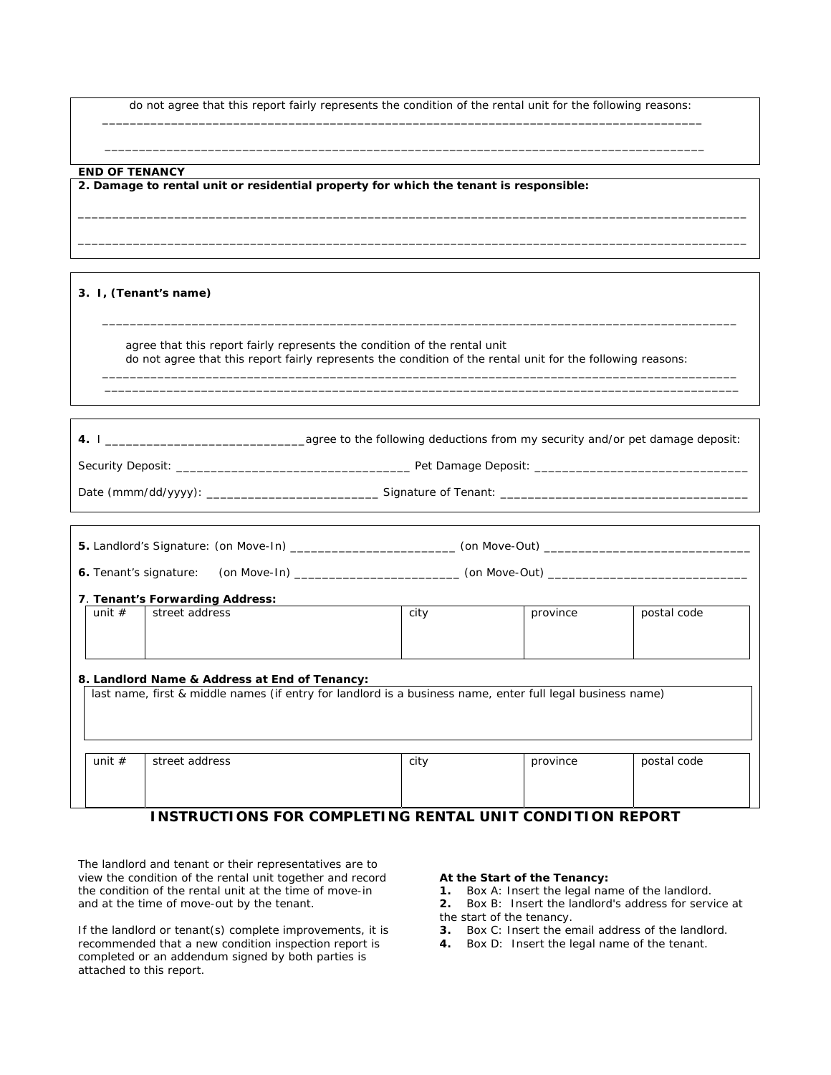do not agree that this report fairly represents the condition of the rental unit for the following reasons: \_\_\_\_\_\_\_\_\_\_\_\_\_\_\_\_\_\_\_\_\_\_\_\_\_\_\_\_\_\_\_\_\_\_\_\_\_\_\_\_\_\_\_\_\_\_\_\_\_\_\_\_\_\_\_\_\_\_\_\_\_\_\_\_\_\_\_\_\_\_\_\_\_\_\_\_\_\_\_\_\_\_\_\_\_\_\_

\_\_\_\_\_\_\_\_\_\_\_\_\_\_\_\_\_\_\_\_\_\_\_\_\_\_\_\_\_\_\_\_\_\_\_\_\_\_\_\_\_\_\_\_\_\_\_\_\_\_\_\_\_\_\_\_\_\_\_\_\_\_\_\_\_\_\_\_\_\_\_\_\_\_\_\_\_\_\_\_\_\_\_\_\_\_\_\_\_\_\_\_\_\_\_\_\_ \_\_\_\_\_\_\_\_\_\_\_\_\_\_\_\_\_\_\_\_\_\_\_\_\_\_\_\_\_\_\_\_\_\_\_\_\_\_\_\_\_\_\_\_\_\_\_\_\_\_\_\_\_\_\_\_\_\_\_\_\_\_\_\_\_\_\_\_\_\_\_\_\_\_\_\_\_\_\_\_\_\_\_\_\_\_\_\_\_\_\_\_\_\_\_\_\_

 $\mathcal{L} = \frac{1}{2} \sum_{i=1}^{n} \frac{1}{2} \sum_{j=1}^{n} \frac{1}{2} \sum_{j=1}^{n} \frac{1}{2} \sum_{j=1}^{n} \frac{1}{2} \sum_{j=1}^{n} \frac{1}{2} \sum_{j=1}^{n} \frac{1}{2} \sum_{j=1}^{n} \frac{1}{2} \sum_{j=1}^{n} \frac{1}{2} \sum_{j=1}^{n} \frac{1}{2} \sum_{j=1}^{n} \frac{1}{2} \sum_{j=1}^{n} \frac{1}{2} \sum_{j=1}^{n} \frac{1}{2} \sum$ 

**END OF TENANCY** 

**2. Damage to rental unit or residential property for which the tenant is responsible:** 

**3. I, (Tenant's name)**

 agree that this report fairly represents the condition of the rental unit do not agree that this report fairly represents the condition of the rental unit for the following reasons:

\_\_\_\_\_\_\_\_\_\_\_\_\_\_\_\_\_\_\_\_\_\_\_\_\_\_\_\_\_\_\_\_\_\_\_\_\_\_\_\_\_\_\_\_\_\_\_\_\_\_\_\_\_\_\_\_\_\_\_\_\_\_\_\_\_\_\_\_\_\_\_\_\_\_\_\_\_\_\_\_\_\_\_\_\_\_\_\_\_\_\_\_

\_\_\_\_\_\_\_\_\_\_\_\_\_\_\_\_\_\_\_\_\_\_\_\_\_\_\_\_\_\_\_\_\_\_\_\_\_\_\_\_\_\_\_\_\_\_\_\_\_\_\_\_\_\_\_\_\_\_\_\_\_\_\_\_\_\_\_\_\_\_\_\_\_\_\_\_\_\_\_\_\_\_\_\_\_\_\_\_\_\_\_\_  $\overline{\phantom{a}}$  ,  $\overline{\phantom{a}}$  ,  $\overline{\phantom{a}}$  ,  $\overline{\phantom{a}}$  ,  $\overline{\phantom{a}}$  ,  $\overline{\phantom{a}}$  ,  $\overline{\phantom{a}}$  ,  $\overline{\phantom{a}}$  ,  $\overline{\phantom{a}}$  ,  $\overline{\phantom{a}}$  ,  $\overline{\phantom{a}}$  ,  $\overline{\phantom{a}}$  ,  $\overline{\phantom{a}}$  ,  $\overline{\phantom{a}}$  ,  $\overline{\phantom{a}}$  ,  $\overline{\phantom{a}}$ 

**4.** I \_\_\_\_\_\_\_\_\_\_\_\_\_\_\_\_\_\_\_\_\_\_\_\_\_\_\_\_\_agree to the following deductions from my security and/or pet damage deposit: Security Deposit: \_\_\_\_\_\_\_\_\_\_\_\_\_\_\_\_\_\_\_\_\_\_\_\_\_\_\_\_\_\_\_\_\_\_ Pet Damage Deposit: \_\_\_\_\_\_\_\_\_\_\_\_\_\_\_\_\_\_\_\_\_\_\_\_\_\_\_\_\_\_\_ Date (mmm/dd/yyyy): \_\_\_\_\_\_\_\_\_\_\_\_\_\_\_\_\_\_\_\_\_\_\_\_\_ Signature of Tenant: \_\_\_\_\_\_\_\_\_\_\_\_\_\_\_\_\_\_\_\_\_\_\_\_\_\_\_\_\_\_\_\_\_\_\_\_

| 5. Landlord's Signature: (on Move-In) _________________________ (on Move-Out) ___________________________                                                   |                                                                                                      |      |          |             |  |  |  |  |
|-------------------------------------------------------------------------------------------------------------------------------------------------------------|------------------------------------------------------------------------------------------------------|------|----------|-------------|--|--|--|--|
|                                                                                                                                                             | 6. Tenant's signature: (on Move-In) ______________________(on Move-Out) ____________________________ |      |          |             |  |  |  |  |
| 7. Tenant's Forwarding Address:                                                                                                                             |                                                                                                      |      |          |             |  |  |  |  |
| unit $#$<br>street address<br>city<br>province<br>postal code                                                                                               |                                                                                                      |      |          |             |  |  |  |  |
| 8. Landlord Name & Address at End of Tenancy:<br>last name, first & middle names (if entry for landlord is a business name, enter full legal business name) |                                                                                                      |      |          |             |  |  |  |  |
|                                                                                                                                                             |                                                                                                      |      |          |             |  |  |  |  |
| unit $#$                                                                                                                                                    | street address                                                                                       | city | province | postal code |  |  |  |  |

## **INSTRUCTIONS FOR COMPLETING RENTAL UNIT CONDITION REPORT**

The landlord and tenant or their representatives are to view the condition of the rental unit together and record the condition of the rental unit at the time of move-in and at the time of move-out by the tenant.

If the landlord or tenant(s) complete improvements, it is recommended that a new condition inspection report is completed or an addendum signed by both parties is attached to this report.

#### **At the Start of the Tenancy:**

**1.** Box A: Insert the legal name of the landlord.

- **2.** Box B: Insert the landlord's address for service at the start of the tenancy.
- **3.** Box C: Insert the email address of the landlord.
- **4.** Box D: Insert the legal name of the tenant.